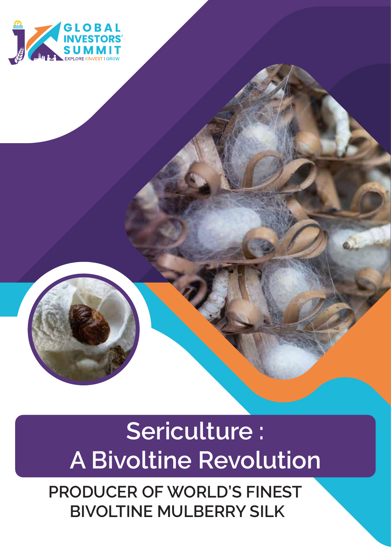

## **Sericulture : A Bivoltine Revolution**

**PRODUCER OF WORLD'S FINEST BIVOLTINE MULBERRY SILK**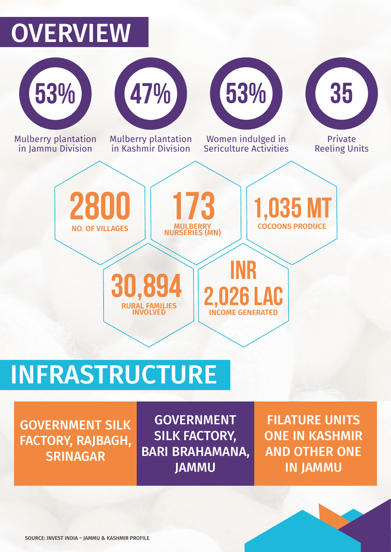## **OVERVIEW**



# INFRASTRUCTURE

GOVERNMENT SILK FACTORY, RAJBAGH, **SRINAGAR** 

GOVERNMENT SILK FACTORY, BARI BRAHAMANA, JAMMU

FILATURE UNITS ONE IN KASHMIR AND OTHER ONE IN JAMMU

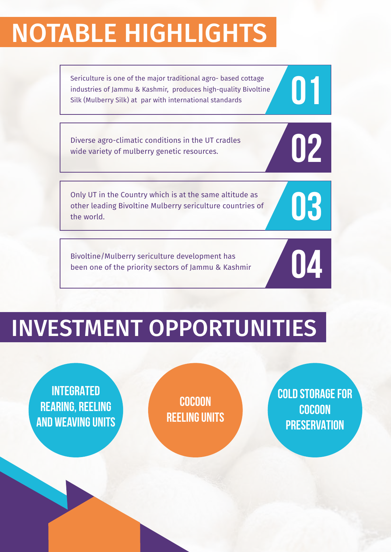## NOTABLE HIGHLIGHTS

Sericulture is one of the major traditional agro- based cottage<br>industries of Jammu & Kashmir, produces high-quality Bivoltine<br>Silk (Mulberry Silk) at par with international standards industries of Jammu & Kashmir, produces high-quality Bivoltine Silk (Mulberry Silk) at par with international standards

Diverse agro-climatic conditions in the UT cradles<br>wide variety of mulberry genetic resources. wide variety of mulberry genetic resources.

Only UT in the Country which is at the same altitude as<br>other leading Bivoltine Mulberry sericulture countries of<br>the world. other leading Bivoltine Mulberry sericulture countries of the world.

Bivoltine/Mulberry sericulture development has<br>been one of the priority sectors of Jammu & Kashmir<br>**1990** been one of the priority sectors of Jammu & Kashmir

## INVESTMENT OPPORTUNITIES

**INTEGRATED REARING, REELING AND WEAVING UNITS**

**COCOON REELING UNITS** **COLD STORAGE FOR COCOON PRESERVATION**